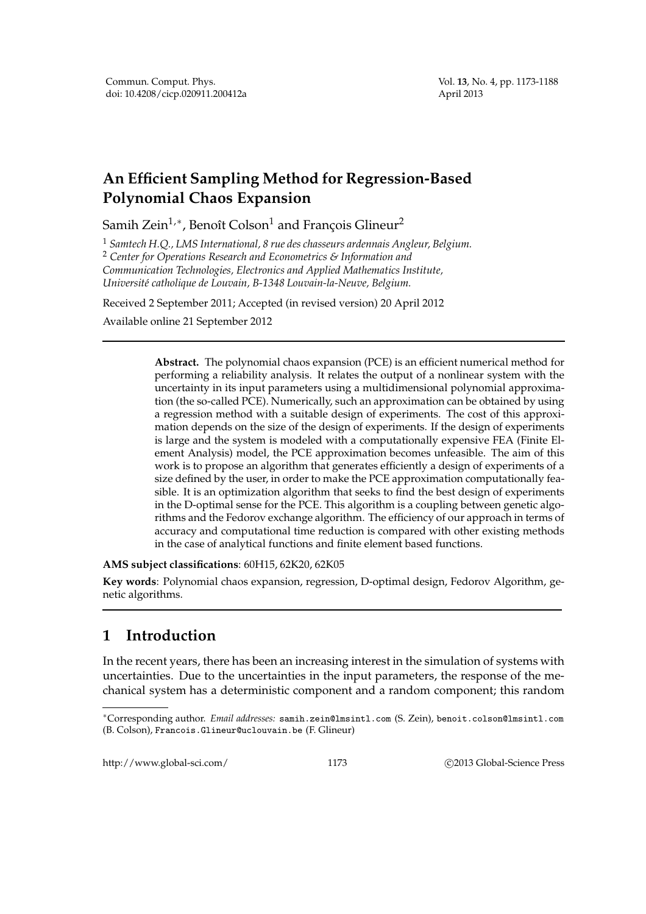# **An Efficient Sampling Method for Regression-Based Polynomial Chaos Expansion**

Samih Zein $^{1,\ast}$ , Benoît Colson $^1$  and François Glineur $^2$ 

<sup>1</sup> *Samtech H.Q., LMS International, 8 rue des chasseurs ardennais Angleur, Belgium.* <sup>2</sup> *Center for Operations Research and Econometrics & Information and Communication Technologies, Electronics and Applied Mathematics Institute, Universit´e catholique de Louvain, B-1348 Louvain-la-Neuve, Belgium.*

Received 2 September 2011; Accepted (in revised version) 20 April 2012

Available online 21 September 2012

**Abstract.** The polynomial chaos expansion (PCE) is an efficient numerical method for performing a reliability analysis. It relates the output of a nonlinear system with the uncertainty in its input parameters using a multidimensional polynomial approximation (the so-called PCE). Numerically, such an approximation can be obtained by using a regression method with a suitable design of experiments. The cost of this approximation depends on the size of the design of experiments. If the design of experiments is large and the system is modeled with a computationally expensive FEA (Finite Element Analysis) model, the PCE approximation becomes unfeasible. The aim of this work is to propose an algorithm that generates efficiently a design of experiments of a size defined by the user, in order to make the PCE approximation computationally feasible. It is an optimization algorithm that seeks to find the best design of experiments in the D-optimal sense for the PCE. This algorithm is a coupling between genetic algorithms and the Fedorov exchange algorithm. The efficiency of our approach in terms of accuracy and computational time reduction is compared with other existing methods in the case of analytical functions and finite element based functions.

**AMS subject classifications**: 60H15, 62K20, 62K05

**Key words**: Polynomial chaos expansion, regression, D-optimal design, Fedorov Algorithm, genetic algorithms.

# **1 Introduction**

In the recent years, there has been an increasing interest in the simulation of systems with uncertainties. Due to the uncertainties in the input parameters, the response of the mechanical system has a deterministic component and a random component; this random

http://www.global-sci.com/ 1173 c 2013 Global-Science Press

<sup>∗</sup>Corresponding author. *Email addresses:* samih.zein@lmsintl.com (S. Zein), benoit.colson@lmsintl.com (B. Colson), Francois.Glineur@uclouvain.be (F. Glineur)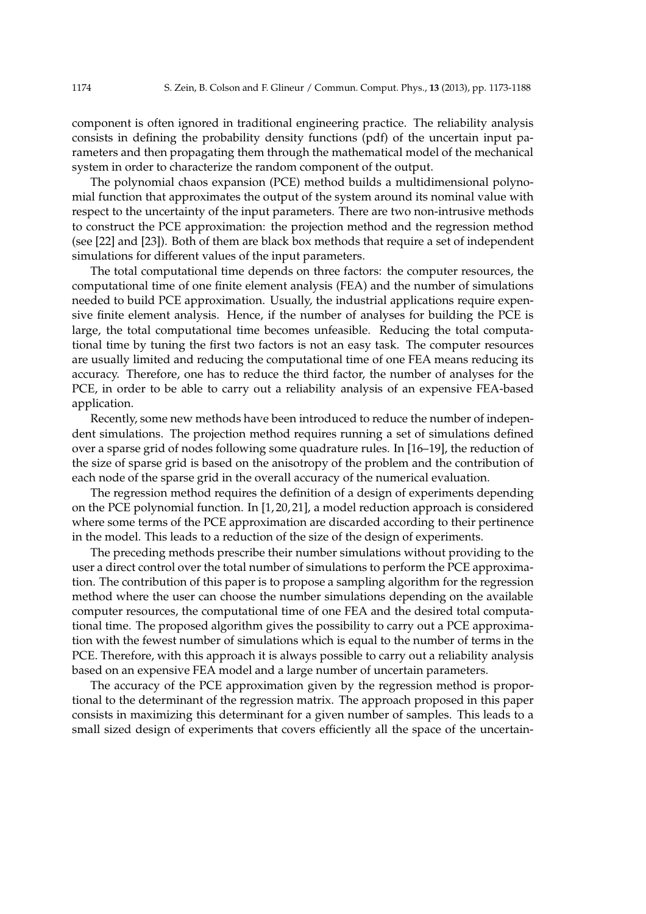component is often ignored in traditional engineering practice. The reliability analysis consists in defining the probability density functions (pdf) of the uncertain input parameters and then propagating them through the mathematical model of the mechanical system in order to characterize the random component of the output.

The polynomial chaos expansion (PCE) method builds a multidimensional polynomial function that approximates the output of the system around its nominal value with respect to the uncertainty of the input parameters. There are two non-intrusive methods to construct the PCE approximation: the projection method and the regression method (see [22] and [23]). Both of them are black box methods that require a set of independent simulations for different values of the input parameters.

The total computational time depends on three factors: the computer resources, the computational time of one finite element analysis (FEA) and the number of simulations needed to build PCE approximation. Usually, the industrial applications require expensive finite element analysis. Hence, if the number of analyses for building the PCE is large, the total computational time becomes unfeasible. Reducing the total computational time by tuning the first two factors is not an easy task. The computer resources are usually limited and reducing the computational time of one FEA means reducing its accuracy. Therefore, one has to reduce the third factor, the number of analyses for the PCE, in order to be able to carry out a reliability analysis of an expensive FEA-based application.

Recently, some new methods have been introduced to reduce the number of independent simulations. The projection method requires running a set of simulations defined over a sparse grid of nodes following some quadrature rules. In [16–19], the reduction of the size of sparse grid is based on the anisotropy of the problem and the contribution of each node of the sparse grid in the overall accuracy of the numerical evaluation.

The regression method requires the definition of a design of experiments depending on the PCE polynomial function. In [1, 20, 21], a model reduction approach is considered where some terms of the PCE approximation are discarded according to their pertinence in the model. This leads to a reduction of the size of the design of experiments.

The preceding methods prescribe their number simulations without providing to the user a direct control over the total number of simulations to perform the PCE approximation. The contribution of this paper is to propose a sampling algorithm for the regression method where the user can choose the number simulations depending on the available computer resources, the computational time of one FEA and the desired total computational time. The proposed algorithm gives the possibility to carry out a PCE approximation with the fewest number of simulations which is equal to the number of terms in the PCE. Therefore, with this approach it is always possible to carry out a reliability analysis based on an expensive FEA model and a large number of uncertain parameters.

The accuracy of the PCE approximation given by the regression method is proportional to the determinant of the regression matrix. The approach proposed in this paper consists in maximizing this determinant for a given number of samples. This leads to a small sized design of experiments that covers efficiently all the space of the uncertain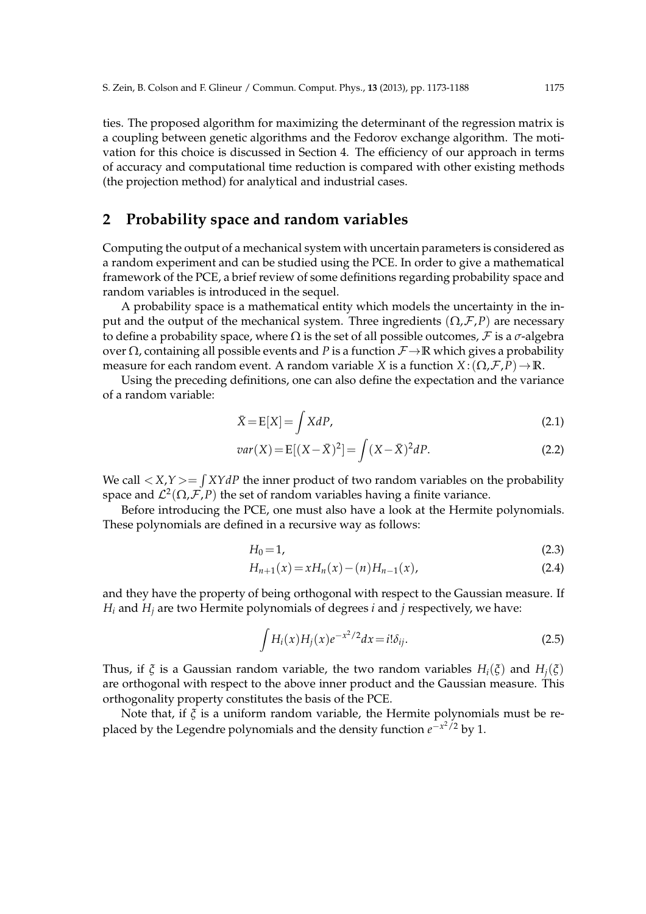ties. The proposed algorithm for maximizing the determinant of the regression matrix is a coupling between genetic algorithms and the Fedorov exchange algorithm. The motivation for this choice is discussed in Section 4. The efficiency of our approach in terms of accuracy and computational time reduction is compared with other existing methods (the projection method) for analytical and industrial cases.

### **2 Probability space and random variables**

Computing the output of a mechanical system with uncertain parameters is considered as a random experiment and can be studied using the PCE. In order to give a mathematical framework of the PCE, a brief review of some definitions regarding probability space and random variables is introduced in the sequel.

A probability space is a mathematical entity which models the uncertainty in the input and the output of the mechanical system. Three ingredients  $(\Omega, \mathcal{F}, P)$  are necessary to define a probability space, where  $\Omega$  is the set of all possible outcomes,  $\mathcal F$  is a  $\sigma$ -algebra over Ω, containing all possible events and *P* is a function F→**R** which gives a probability measure for each random event. A random variable *X* is a function *X* :  $(\Omega, \mathcal{F}, P) \to \mathbb{R}$ .

Using the preceding definitions, one can also define the expectation and the variance of a random variable:

$$
\bar{X} = E[X] = \int XdP,\tag{2.1}
$$

$$
var(X) = E[(X - \bar{X})^2] = \int (X - \bar{X})^2 dP.
$$
 (2.2)

We call  $\langle X, Y \rangle = \int XY dP$  the inner product of two random variables on the probability space and  $\mathcal{L}^2(\Omega,\mathcal{F},P)$  the set of random variables having a finite variance.

Before introducing the PCE, one must also have a look at the Hermite polynomials. These polynomials are defined in a recursive way as follows:

$$
H_0 = 1,\tag{2.3}
$$

$$
H_{n+1}(x) = xH_n(x) - (n)H_{n-1}(x),
$$
\n(2.4)

and they have the property of being orthogonal with respect to the Gaussian measure. If *H<sup>i</sup>* and *H<sup>j</sup>* are two Hermite polynomials of degrees *i* and *j* respectively, we have:

$$
\int H_i(x)H_j(x)e^{-x^2/2}dx = i!\delta_{ij}.
$$
\n(2.5)

Thus, if *ξ* is a Gaussian random variable, the two random variables *Hi*(*ξ*) and *Hj*(*ξ*) are orthogonal with respect to the above inner product and the Gaussian measure. This orthogonality property constitutes the basis of the PCE.

Note that, if *ξ* is a uniform random variable, the Hermite polynomials must be replaced by the Legendre polynomials and the density function  $e^{-x^2/2}$  by 1.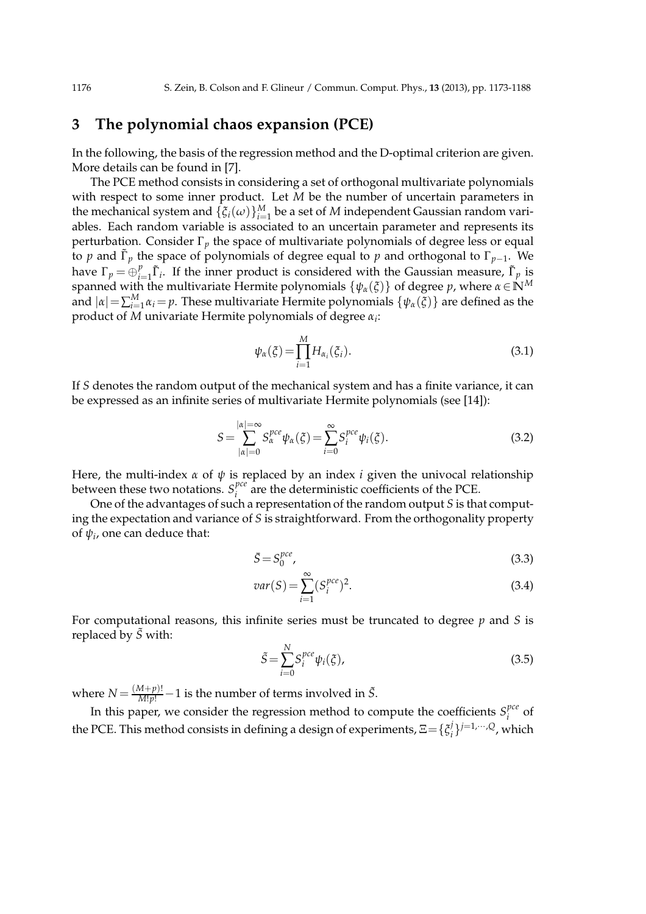### **3 The polynomial chaos expansion (PCE)**

In the following, the basis of the regression method and the D-optimal criterion are given. More details can be found in [7].

The PCE method consists in considering a set of orthogonal multivariate polynomials with respect to some inner product. Let *M* be the number of uncertain parameters in the mechanical system and  $\{\xi_i(\omega)\}_{i=1}^M$  be a set of  $M$  independent Gaussian random variables. Each random variable is associated to an uncertain parameter and represents its perturbation. Consider Γ*<sup>p</sup>* the space of multivariate polynomials of degree less or equal to *p* and  $\tilde{\Gamma}_p$  the space of polynomials of degree equal to *p* and orthogonal to  $\Gamma_{p-1}$ . We have  $\Gamma_p = \bigoplus_{i=1}^p p_i$  $\prod_{i=1}^{p} \tilde{\Gamma}_i$ . If the inner product is considered with the Gaussian measure,  $\tilde{\Gamma}_p$  is spanned with the multivariate Hermite polynomials  $\{\psi_\alpha(\xi)\}\$  of degree *p*, where  $\alpha \in \mathbb{N}^M$ and  $|\alpha| = \sum_{i=1}^{M} \alpha_i = p$ . These multivariate Hermite polynomials  $\{\psi_\alpha(\bar{\zeta})\}$  are defined as the product of *M* univariate Hermite polynomials of degree *α<sup>i</sup>* :

$$
\psi_{\alpha}(\xi) = \prod_{i=1}^{M} H_{\alpha_i}(\xi_i). \tag{3.1}
$$

If *S* denotes the random output of the mechanical system and has a finite variance, it can be expressed as an infinite series of multivariate Hermite polynomials (see [14]):

$$
S = \sum_{|\alpha|=0}^{|\alpha|=\infty} S_{\alpha}^{pce} \psi_{\alpha}(\xi) = \sum_{i=0}^{\infty} S_{i}^{pce} \psi_{i}(\xi).
$$
 (3.2)

Here, the multi-index *α* of *ψ* is replaced by an index *i* given the univocal relationship between these two notations. *S pce*  $\hat{i}^{\text{rec}}$  are the deterministic coefficients of the PCE.

One of the advantages of such a representation of the random output *S* is that computing the expectation and variance of *S* is straightforward. From the orthogonality property of  $\psi_i$ , one can deduce that:

$$
\bar{S} = S_0^{pce},\tag{3.3}
$$

$$
var(S) = \sum_{i=1}^{\infty} (S_i^{pce})^2.
$$
 (3.4)

For computational reasons, this infinite series must be truncated to degree *p* and *S* is replaced by  $\tilde{S}$  with:

$$
\tilde{S} = \sum_{i=0}^{N} S_i^{pce} \psi_i(\xi),\tag{3.5}
$$

where  $N = \frac{(M+p)!}{M!p!} - 1$  is the number of terms involved in  $\tilde{S}$ .

In this paper, we consider the regression method to compute the coefficients  $S_i^{pcc}$  $\int_{i}^{\mu}$  of the PCE. This method consists in defining a design of experiments,  $\Xi = \{\xi_i^j\}$ *i* } *<sup>j</sup>*=1,···,*Q*, which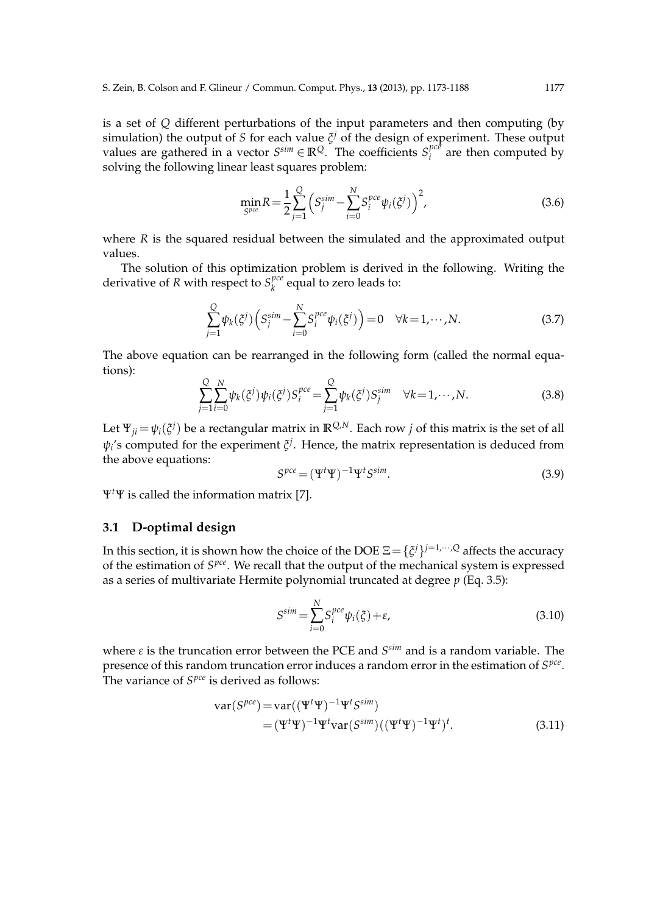is a set of *Q* different perturbations of the input parameters and then computing (by simulation) the output of *S* for each value *ξ <sup>j</sup>* of the design of experiment. These output values are gathered in a vector  $S^{sim} \in \mathbb{R}^Q$ . The coefficients  $S_i^{pct}$  $i$ <sup> $\mu$ c</sup> are then computed by solving the following linear least squares problem:

$$
\min_{S^{pce}} R = \frac{1}{2} \sum_{j=1}^{Q} \left( S_j^{sim} - \sum_{i=0}^{N} S_i^{pce} \psi_i(\xi^j) \right)^2,
$$
\n(3.6)

where *R* is the squared residual between the simulated and the approximated output values.

The solution of this optimization problem is derived in the following. Writing the derivative of *R* with respect to  $S_k^{pce}$  $\kappa_k^{\text{pce}}$  equal to zero leads to:

$$
\sum_{j=1}^{Q} \psi_k(\xi^j) \left( S_j^{sim} - \sum_{i=0}^{N} S_i^{pce} \psi_i(\xi^j) \right) = 0 \quad \forall k = 1, \cdots, N. \tag{3.7}
$$

The above equation can be rearranged in the following form (called the normal equations):

$$
\sum_{j=1}^{Q} \sum_{i=0}^{N} \psi_k(\xi^j) \psi_i(\xi^j) S_i^{pce} = \sum_{j=1}^{Q} \psi_k(\xi^j) S_j^{sim} \quad \forall k = 1, \cdots, N. \tag{3.8}
$$

Let  $\Psi_{ji}$   $=$   $\psi_i(\xi^j)$  be a rectangular matrix in  $\mathbb{R}^{Q,N}.$  Each row  $j$  of this matrix is the set of all *ψi* 's computed for the experiment *ξ j* . Hence, the matrix representation is deduced from the above equations:

$$
S^{pce} = (\Psi^t \Psi)^{-1} \Psi^t S^{sim}.
$$
\n(3.9)

Ψ*t*Ψ is called the information matrix [7].

#### **3.1 D-optimal design**

In this section, it is shown how the choice of the DOE  $\Xi\! =\! \{\xi^j\}^{j=1,\cdots,Q}$  affects the accuracy of the estimation of  $S^{pec}$ . We recall that the output of the mechanical system is expressed as a series of multivariate Hermite polynomial truncated at degree *p* (Eq. 3.5):

$$
S^{sim} = \sum_{i=0}^{N} S_i^{pce} \psi_i(\xi) + \varepsilon,
$$
\n(3.10)

where *ε* is the truncation error between the PCE and *S*<sup>sim</sup> and is a random variable. The presence of this random truncation error induces a random error in the estimation of  $S^{pec}$ . The variance of  $S^{pec}$  is derived as follows:

$$
\operatorname{var}(S^{pce}) = \operatorname{var}((\Psi^t \Psi)^{-1} \Psi^t S^{sim})
$$
  
= (\Psi^t \Psi)^{-1} \Psi^t \operatorname{var}(S^{sim})((\Psi^t \Psi)^{-1} \Psi^t)^t. (3.11)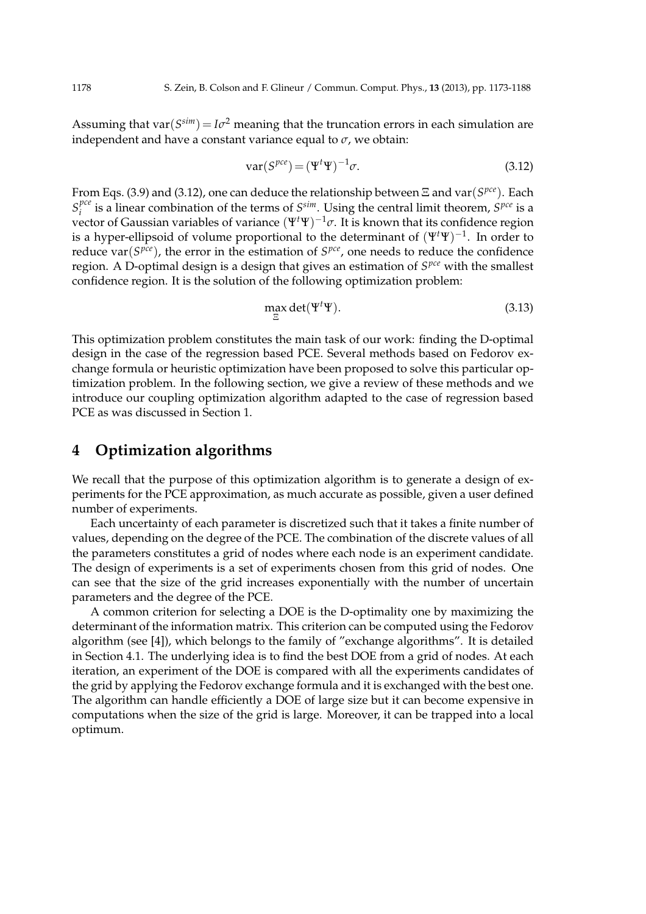Assuming that var $(S^{sim}) = I\sigma^2$  meaning that the truncation errors in each simulation are independent and have a constant variance equal to  $\sigma$ , we obtain:

$$
\operatorname{var}(S^{pce}) = (\Psi^t \Psi)^{-1} \sigma. \tag{3.12}
$$

From Eqs. (3.9) and (3.12), one can deduce the relationship between Ξ and var(*S pce*). Each *S pce i*<sup>*pce</sup>* is a linear combination of the terms of *S*<sup>*sim*</sup>. Using the central limit theorem, *S*<sup>*pce*</sup> is a</sup> vector of Gaussian variables of variance  $(\Psi^t \Psi)^{-1} \sigma$ . It is known that its confidence region is a hyper-ellipsoid of volume proportional to the determinant of  $(\Psi^t\Psi)^{-1}$ . In order to reduce var $(S^{pce})$ , the error in the estimation of  $S^{pce}$ , one needs to reduce the confidence region. A D-optimal design is a design that gives an estimation of  $S^{pec}$  with the smallest confidence region. It is the solution of the following optimization problem:

$$
\max_{\Xi} \det(\Psi^t \Psi). \tag{3.13}
$$

This optimization problem constitutes the main task of our work: finding the D-optimal design in the case of the regression based PCE. Several methods based on Fedorov exchange formula or heuristic optimization have been proposed to solve this particular optimization problem. In the following section, we give a review of these methods and we introduce our coupling optimization algorithm adapted to the case of regression based PCE as was discussed in Section 1.

## **4 Optimization algorithms**

We recall that the purpose of this optimization algorithm is to generate a design of experiments for the PCE approximation, as much accurate as possible, given a user defined number of experiments.

Each uncertainty of each parameter is discretized such that it takes a finite number of values, depending on the degree of the PCE. The combination of the discrete values of all the parameters constitutes a grid of nodes where each node is an experiment candidate. The design of experiments is a set of experiments chosen from this grid of nodes. One can see that the size of the grid increases exponentially with the number of uncertain parameters and the degree of the PCE.

A common criterion for selecting a DOE is the D-optimality one by maximizing the determinant of the information matrix. This criterion can be computed using the Fedorov algorithm (see [4]), which belongs to the family of "exchange algorithms". It is detailed in Section 4.1. The underlying idea is to find the best DOE from a grid of nodes. At each iteration, an experiment of the DOE is compared with all the experiments candidates of the grid by applying the Fedorov exchange formula and it is exchanged with the best one. The algorithm can handle efficiently a DOE of large size but it can become expensive in computations when the size of the grid is large. Moreover, it can be trapped into a local optimum.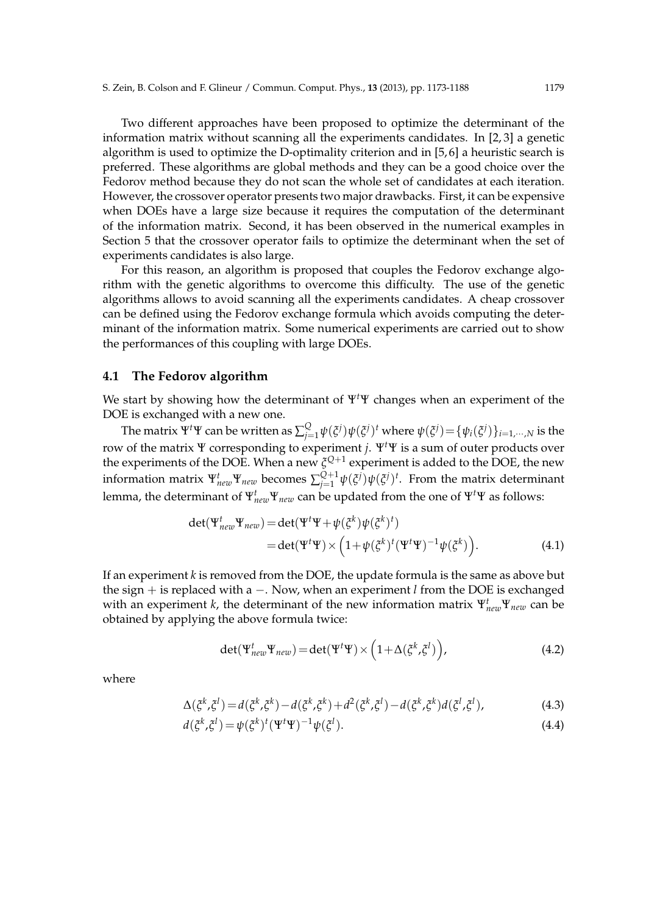Two different approaches have been proposed to optimize the determinant of the information matrix without scanning all the experiments candidates. In [2, 3] a genetic algorithm is used to optimize the D-optimality criterion and in [5, 6] a heuristic search is preferred. These algorithms are global methods and they can be a good choice over the Fedorov method because they do not scan the whole set of candidates at each iteration. However, the crossover operator presents two major drawbacks. First, it can be expensive when DOEs have a large size because it requires the computation of the determinant of the information matrix. Second, it has been observed in the numerical examples in Section 5 that the crossover operator fails to optimize the determinant when the set of experiments candidates is also large.

For this reason, an algorithm is proposed that couples the Fedorov exchange algorithm with the genetic algorithms to overcome this difficulty. The use of the genetic algorithms allows to avoid scanning all the experiments candidates. A cheap crossover can be defined using the Fedorov exchange formula which avoids computing the determinant of the information matrix. Some numerical experiments are carried out to show the performances of this coupling with large DOEs.

#### **4.1 The Fedorov algorithm**

We start by showing how the determinant of Ψ*t*Ψ changes when an experiment of the DOE is exchanged with a new one.

The matrix  $\Psi^t \Psi$  can be written as  $\sum_{i=1}^Q$  $\psi^{Q}_{j=1} \psi(\xi^j) \psi(\xi^j)^t$  where  $\psi(\xi^j)$   $=$   $\{ \psi_i(\xi^j) \}_{i=1,\cdots,N}$  is the row of the matrix Ψ corresponding to experiment *j*. Ψ*t*Ψ is a sum of outer products over the experiments of the DOE. When a new  $\zeta^{Q+1}$  experiment is added to the DOE, the new information matrix  $\Psi_{new}^t \Psi_{new}$  becomes  $\sum_{j=1}^{Q+1}$  $\frac{Q+1}{j=1}\psi(\xi^j)\psi(\xi^j)^t$ . From the matrix determinant lemma, the determinant of Ψ $^t_{new}$ Ψ<sub>new</sub> can be updated from the one of Ψ<sup>t</sup>Ψ as follows:

$$
\det(\Psi_{new}^t \Psi_{new}) = \det(\Psi^t \Psi + \psi(\xi^k) \psi(\xi^k)^t) \n= \det(\Psi^t \Psi) \times \left(1 + \psi(\xi^k)^t (\Psi^t \Psi)^{-1} \psi(\xi^k)\right).
$$
\n(4.1)

If an experiment *k* is removed from the DOE, the update formula is the same as above but the sign + is replaced with a −. Now, when an experiment *l* from the DOE is exchanged with an experiment *k*, the determinant of the new information matrix  $\Psi_{new}^t \Psi_{new}$  can be obtained by applying the above formula twice:

$$
\det(\Psi_{new}^t \Psi_{new}) = \det(\Psi^t \Psi) \times \left(1 + \Delta(\xi^k, \xi^l)\right),\tag{4.2}
$$

where

$$
\Delta(\xi^k, \xi^l) = d(\xi^k, \xi^k) - d(\xi^k, \xi^k) + d^2(\xi^k, \xi^l) - d(\xi^k, \xi^k) d(\xi^l, \xi^l),\tag{4.3}
$$

$$
d(\xi^k, \xi^l) = \psi(\xi^k)^t (\Psi^t \Psi)^{-1} \psi(\xi^l). \tag{4.4}
$$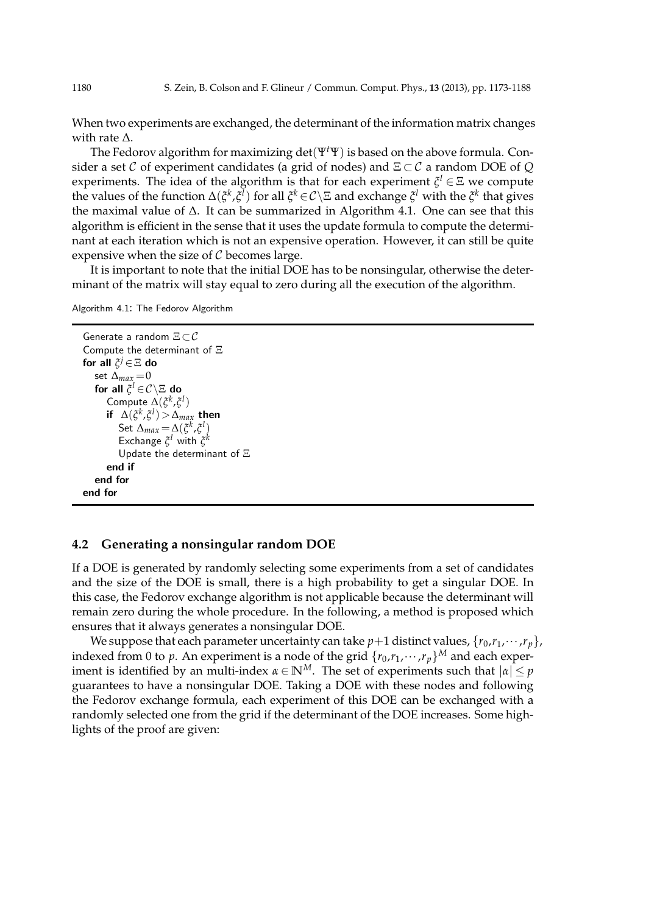When two experiments are exchanged, the determinant of the information matrix changes with rate ∆.

The Fedorov algorithm for maximizing det(Ψ*t*Ψ) is based on the above formula. Consider a set C of experiment candidates (a grid of nodes) and Ξ ⊂ C a random DOE of *Q* experiments. The idea of the algorithm is that for each experiment *ξ <sup>l</sup>* ∈ Ξ we compute the values of the function  $\Delta(\xi^k, \xi^l)$  for all  $\xi^k \in C \setminus \Xi$  and exchange  $\xi^l$  with the  $\xi^k$  that gives the maximal value of ∆. It can be summarized in Algorithm 4.1. One can see that this algorithm is efficient in the sense that it uses the update formula to compute the determinant at each iteration which is not an expensive operation. However, it can still be quite expensive when the size of  $C$  becomes large.

It is important to note that the initial DOE has to be nonsingular, otherwise the determinant of the matrix will stay equal to zero during all the execution of the algorithm.

Algorithm 4.1: The Fedorov Algorithm

```
Generate a random \Xi \subset \mathcal{C}Compute the determinant of Ξ
for all ξ
j ∈Ξ do
   set \Delta_{max} = 0for all \zeta^l\!\in\!\mathcal{C}\backslash\Xi do
       Compute \Delta(\xi^k, \xi^l)if \Delta(\xi^k, \xi^l) > \Delta_{max} then
           Set \Delta_{max} = \Delta(\xi^k, \xi^l)Exchange ξ
l with ξ
k
           Update the determinant of Ξ
       end if
   end for
end for
```
#### **4.2 Generating a nonsingular random DOE**

If a DOE is generated by randomly selecting some experiments from a set of candidates and the size of the DOE is small, there is a high probability to get a singular DOE. In this case, the Fedorov exchange algorithm is not applicable because the determinant will remain zero during the whole procedure. In the following, a method is proposed which ensures that it always generates a nonsingular DOE.

We suppose that each parameter uncertainty can take  $p+1$  distinct values,  $\{r_0, r_1, \dots, r_p\}$ , indexed from 0 to  $p$ . An experiment is a node of the grid  $\{r_0,r_1,\cdots,r_p\}^M$  and each experiment is identified by an multi-index  $\alpha \in \mathbb{N}^M$ . The set of experiments such that  $|\alpha| \leq p$ guarantees to have a nonsingular DOE. Taking a DOE with these nodes and following the Fedorov exchange formula, each experiment of this DOE can be exchanged with a randomly selected one from the grid if the determinant of the DOE increases. Some highlights of the proof are given: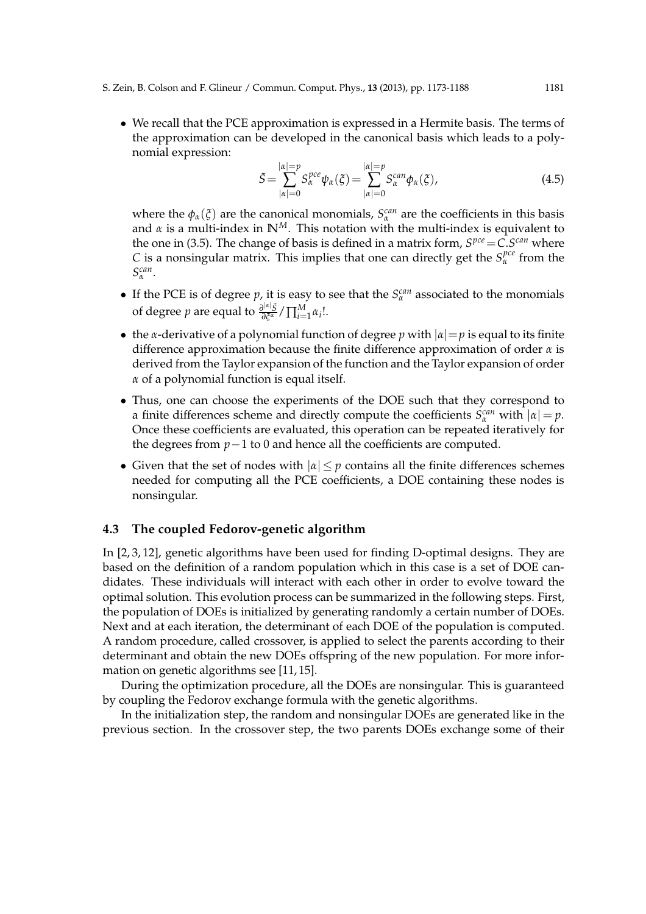• We recall that the PCE approximation is expressed in a Hermite basis. The terms of the approximation can be developed in the canonical basis which leads to a polynomial expression:

$$
\tilde{S} = \sum_{|\alpha|=0}^{|\alpha|=p} S_{\alpha}^{pce} \psi_{\alpha}(\xi) = \sum_{|\alpha|=0}^{|\alpha|=p} S_{\alpha}^{can} \phi_{\alpha}(\xi), \qquad (4.5)
$$

where the  $\phi_{\alpha}(\xi)$  are the canonical monomials,  $S_{\alpha}^{can}$  are the coefficients in this basis and *α* is a multi-index in **N***M*. This notation with the multi-index is equivalent to the one in (3.5). The change of basis is defined in a matrix form, *S pce*=*C*.*S can* where *C* is a nonsingular matrix. This implies that one can directly get the  $S_{\alpha}^{pec}$  from the *S can α* .

- If the PCE is of degree  $p$ , it is easy to see that the  $S_{\alpha}^{can}$  associated to the monomials of degree *p* are equal to  $\frac{\partial^{|a|} \tilde{S}}{\partial \tilde{\zeta}^{\alpha}} / \prod_{i=1}^{M} \alpha_i!$ .
- the *α*-derivative of a polynomial function of degree *p* with  $|a|=p$  is equal to its finite difference approximation because the finite difference approximation of order *α* is derived from the Taylor expansion of the function and the Taylor expansion of order *α* of a polynomial function is equal itself.
- Thus, one can choose the experiments of the DOE such that they correspond to a finite differences scheme and directly compute the coefficients  $S_{\alpha}^{can}$  with  $|\alpha| = p$ . Once these coefficients are evaluated, this operation can be repeated iteratively for the degrees from *p*−1 to 0 and hence all the coefficients are computed.
- Given that the set of nodes with  $|\alpha| \leq p$  contains all the finite differences schemes needed for computing all the PCE coefficients, a DOE containing these nodes is nonsingular.

#### **4.3 The coupled Fedorov-genetic algorithm**

In [2, 3, 12], genetic algorithms have been used for finding D-optimal designs. They are based on the definition of a random population which in this case is a set of DOE candidates. These individuals will interact with each other in order to evolve toward the optimal solution. This evolution process can be summarized in the following steps. First, the population of DOEs is initialized by generating randomly a certain number of DOEs. Next and at each iteration, the determinant of each DOE of the population is computed. A random procedure, called crossover, is applied to select the parents according to their determinant and obtain the new DOEs offspring of the new population. For more information on genetic algorithms see [11, 15].

During the optimization procedure, all the DOEs are nonsingular. This is guaranteed by coupling the Fedorov exchange formula with the genetic algorithms.

In the initialization step, the random and nonsingular DOEs are generated like in the previous section. In the crossover step, the two parents DOEs exchange some of their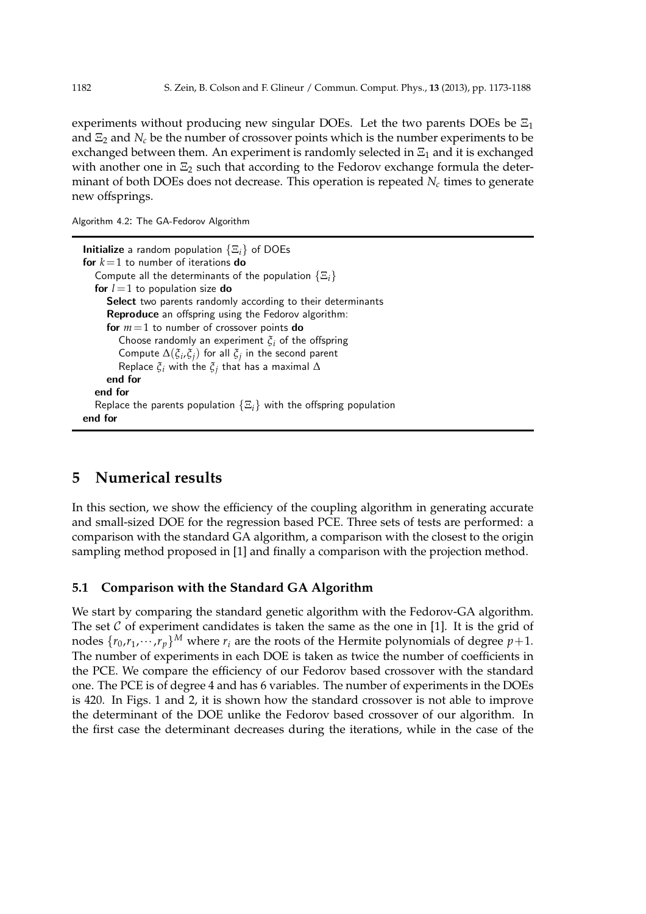experiments without producing new singular DOEs. Let the two parents DOEs be  $\Xi_1$ and  $\Xi_2$  and  $N_c$  be the number of crossover points which is the number experiments to be exchanged between them. An experiment is randomly selected in  $\Xi_1$  and it is exchanged with another one in  $\Xi_2$  such that according to the Fedorov exchange formula the determinant of both DOEs does not decrease. This operation is repeated *N<sup>c</sup>* times to generate new offsprings.

Algorithm 4.2: The GA-Fedorov Algorithm

| <b>Initialize</b> a random population $\{\Xi_i\}$ of DOEs                |
|--------------------------------------------------------------------------|
| <b>for</b> $k=1$ to number of iterations <b>do</b>                       |
| Compute all the determinants of the population $\{E_i\}$                 |
| for $l = 1$ to population size do                                        |
| <b>Select</b> two parents randomly according to their determinants       |
| <b>Reproduce</b> an offspring using the Fedorov algorithm:               |
| for $m=1$ to number of crossover points do                               |
| Choose randomly an experiment $\xi_i$ of the offspring                   |
| Compute $\Delta(\xi_i, \xi_j)$ for all $\xi_j$ in the second parent      |
| Replace $\xi_i$ with the $\xi_i$ that has a maximal $\Delta$             |
| end for                                                                  |
| end for                                                                  |
| Replace the parents population $\{\Xi_i\}$ with the offspring population |
| end for                                                                  |

### **5 Numerical results**

In this section, we show the efficiency of the coupling algorithm in generating accurate and small-sized DOE for the regression based PCE. Three sets of tests are performed: a comparison with the standard GA algorithm, a comparison with the closest to the origin sampling method proposed in [1] and finally a comparison with the projection method.

#### **5.1 Comparison with the Standard GA Algorithm**

We start by comparing the standard genetic algorithm with the Fedorov-GA algorithm. The set  $C$  of experiment candidates is taken the same as the one in [1]. It is the grid of nodes  $\{r_0, r_1, \cdots, r_p\}^M$  where  $r_i$  are the roots of the Hermite polynomials of degree  $p+1$ . The number of experiments in each DOE is taken as twice the number of coefficients in the PCE. We compare the efficiency of our Fedorov based crossover with the standard one. The PCE is of degree 4 and has 6 variables. The number of experiments in the DOEs is 420. In Figs. 1 and 2, it is shown how the standard crossover is not able to improve the determinant of the DOE unlike the Fedorov based crossover of our algorithm. In the first case the determinant decreases during the iterations, while in the case of the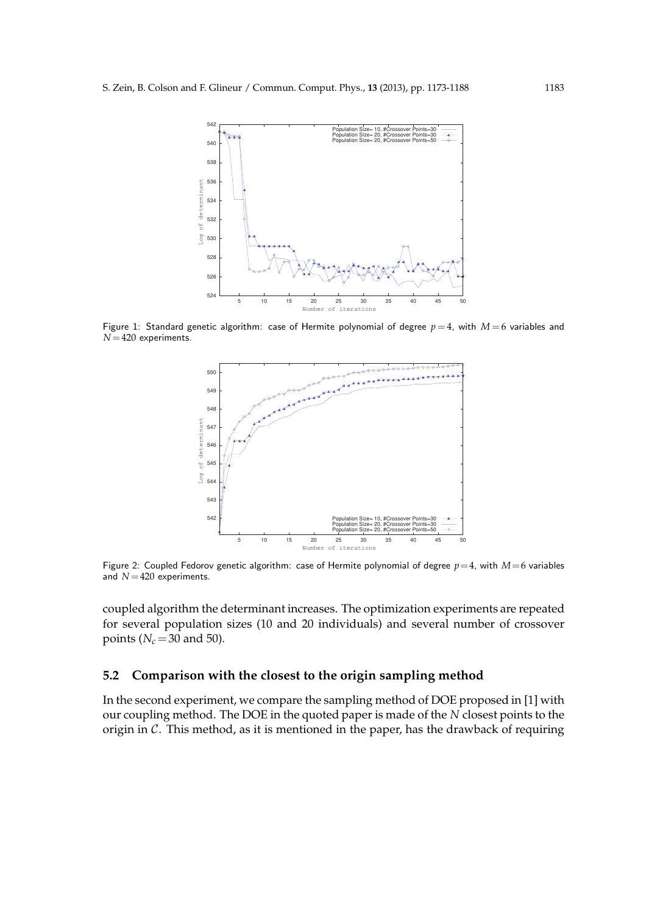

Figure 1: Standard genetic algorithm: case of Hermite polynomial of degree  $p=4$ , with  $M=6$  variables and *N* =420 experiments.



Figure 2: Coupled Fedorov genetic algorithm: case of Hermite polynomial of degree *p*=4, with *M*=6 variables and  $N = 420$  experiments.

coupled algorithm the determinant increases. The optimization experiments are repeated for several population sizes (10 and 20 individuals) and several number of crossover points ( $N_c$  = 30 and 50).

#### **5.2 Comparison with the closest to the origin sampling method**

In the second experiment, we compare the sampling method of DOE proposed in [1] with our coupling method. The DOE in the quoted paper is made of the *N* closest points to the origin in  $\mathcal{C}$ . This method, as it is mentioned in the paper, has the drawback of requiring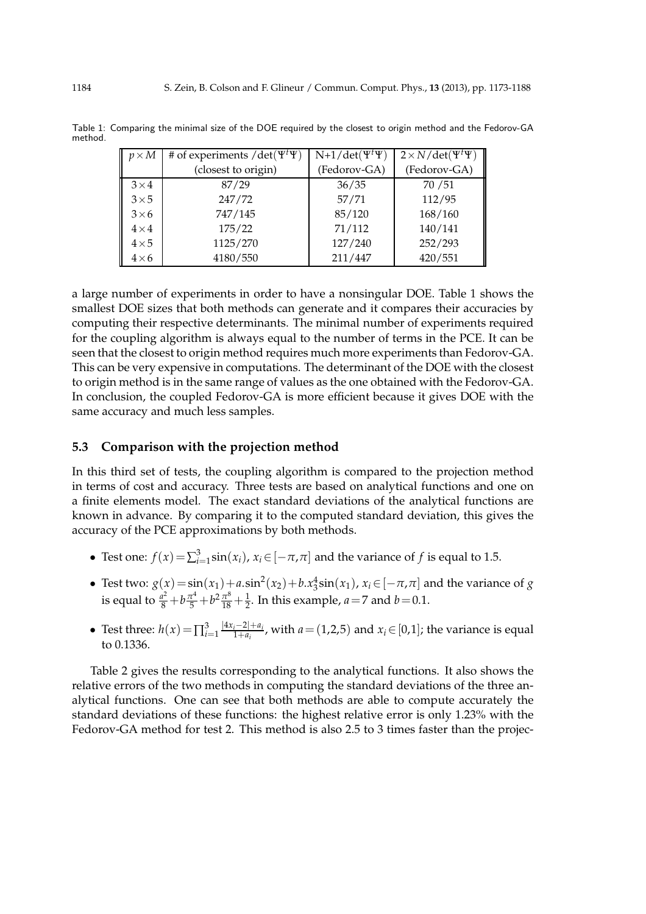| $p \times M$ | # of experiments /det( $\Psi^t\Psi$ ) | $N+1/\det(\Psi^t\Psi)$ | $2 \times N/\text{det}(\Psi^t \Psi)$ |  |
|--------------|---------------------------------------|------------------------|--------------------------------------|--|
|              | (closest to origin)                   | (Fedorov-GA)           | (Fedorov-GA)                         |  |
| $3\times4$   | 87/29                                 | 36/35                  | 70 / 51                              |  |
| $3\times5$   | 247/72                                | 57/71                  | 112/95                               |  |
| $3\times6$   | 747/145                               | 85/120                 | 168/160                              |  |
| $4 \times 4$ | 175/22                                | 71/112                 | 140/141                              |  |
| $4\times5$   | 1125/270                              | 127/240                | 252/293                              |  |
| $4\times6$   | 4180/550                              | 211/447                | 420/551                              |  |

Table 1: Comparing the minimal size of the DOE required by the closest to origin method and the Fedorov-GA method.

a large number of experiments in order to have a nonsingular DOE. Table 1 shows the smallest DOE sizes that both methods can generate and it compares their accuracies by computing their respective determinants. The minimal number of experiments required for the coupling algorithm is always equal to the number of terms in the PCE. It can be seen that the closest to origin method requires much more experiments than Fedorov-GA. This can be very expensive in computations. The determinant of the DOE with the closest to origin method is in the same range of values as the one obtained with the Fedorov-GA. In conclusion, the coupled Fedorov-GA is more efficient because it gives DOE with the same accuracy and much less samples.

#### **5.3 Comparison with the projection method**

In this third set of tests, the coupling algorithm is compared to the projection method in terms of cost and accuracy. Three tests are based on analytical functions and one on a finite elements model. The exact standard deviations of the analytical functions are known in advance. By comparing it to the computed standard deviation, this gives the accuracy of the PCE approximations by both methods.

- Test one:  $f(x) = \sum_{i=1}^{3} \sin(x_i)$ ,  $x_i \in [-\pi, \pi]$  and the variance of *f* is equal to 1.5.
- Test two:  $g(x) = sin(x_1) + a sin^2(x_2) + b.x_3^4 sin(x_1)$ ,  $x_i ∈ [-π, π]$  and the variance of *g* is equal to  $\frac{a^2}{8} + b\frac{\pi^4}{5} + b^2\frac{\pi^8}{18} + \frac{1}{2}$ . In this example,  $a = 7$  and  $b = 0.1$ .
- Test three:  $h(x) = \prod_{i=1}^{3} \frac{|4x_i 2| + a_i}{1 + a_i}$  $\frac{i-2|+u_i}{1+a_i}$ , with *a* = (1,2,5) and *x*<sub>*i*</sub> ∈ [0,1]; the variance is equal to 0.1336.

Table 2 gives the results corresponding to the analytical functions. It also shows the relative errors of the two methods in computing the standard deviations of the three analytical functions. One can see that both methods are able to compute accurately the standard deviations of these functions: the highest relative error is only 1.23% with the Fedorov-GA method for test 2. This method is also 2.5 to 3 times faster than the projec-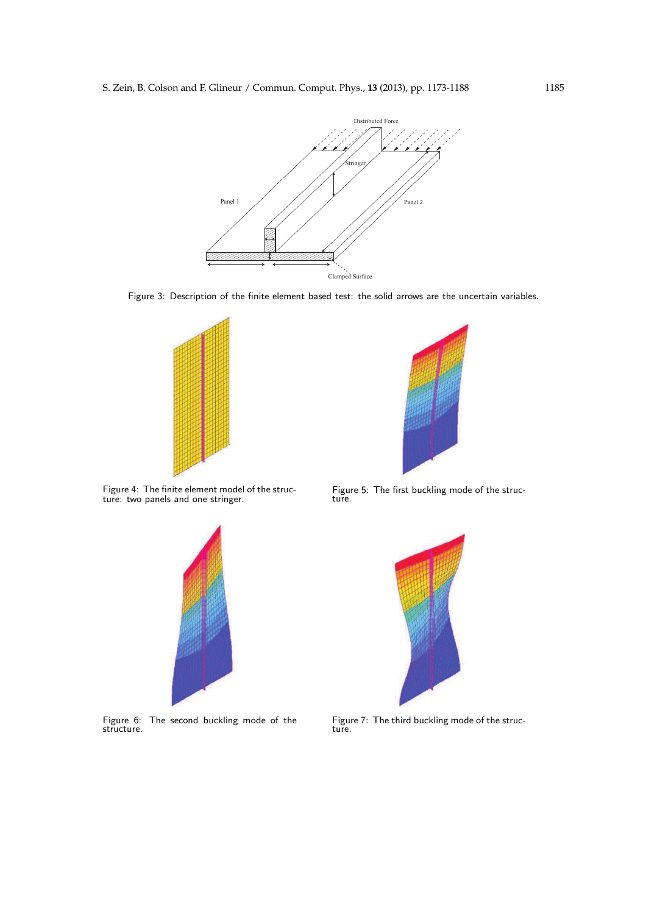



![](_page_12_Figure_3.jpeg)

Figure 4: The finite element model of the structure: two panels and one stringer.

![](_page_12_Figure_6.jpeg)

Figure 6: The second buckling mode of the structure.

Figure 5: The first buckling mode of the structure.

![](_page_12_Figure_9.jpeg)

Figure 7: The third buckling mode of the structure.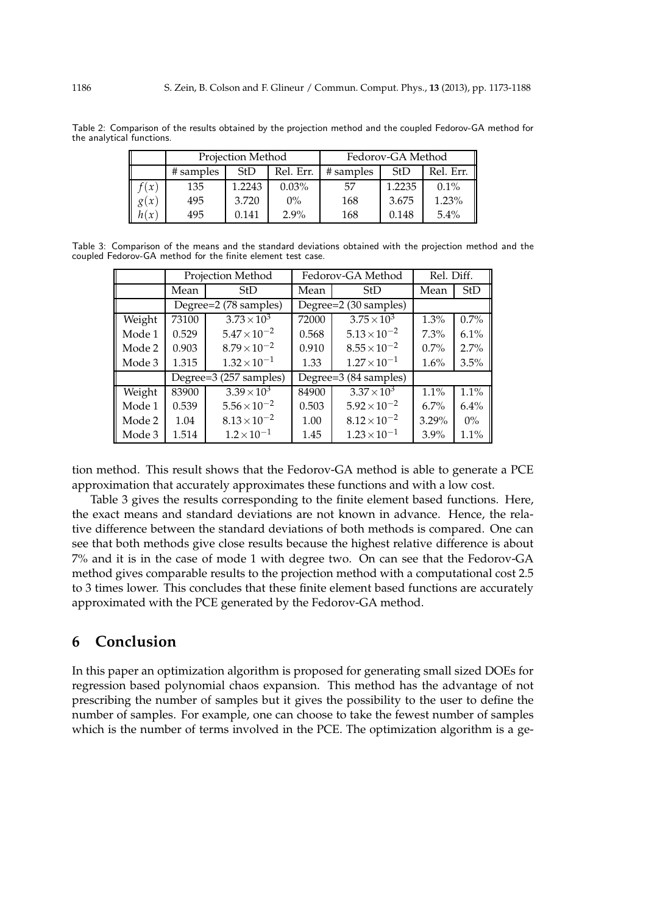Table 2: Comparison of the results obtained by the projection method and the coupled Fedorov-GA method for the analytical functions.

|               | <b>Projection Method</b> |        |           | Fedorov-GA Method |        |           |
|---------------|--------------------------|--------|-----------|-------------------|--------|-----------|
|               | # samples                | StD    | Rel. Err. | # samples         | StD    | Rel. Err. |
| $\mathcal{X}$ | 135                      | 1.2243 | $0.03\%$  | 57                | 1.2235 | $0.1\%$   |
| $\mathcal{X}$ | 495                      | 3.720  | $0\%$     | 168               | 3.675  | 1.23%     |
| h ( x         | 495                      | 0.141  | $2.9\%$   | 168               | 0.148  | 5.4%      |

Table 3: Comparison of the means and the standard deviations obtained with the projection method and the coupled Fedorov-GA method for the finite element test case.

|        | Projection Method      |                       | Fedorov-GA Method     |                       | Rel. Diff. |            |
|--------|------------------------|-----------------------|-----------------------|-----------------------|------------|------------|
|        | Mean                   | StD                   | Mean                  | StD                   | Mean       | <b>StD</b> |
|        | Degree=2 (78 samples)  |                       | Degree=2 (30 samples) |                       |            |            |
| Weight | 73100                  | $3.73 \times 10^3$    | 72000                 | $3.75 \times 10^3$    | 1.3%       | 0.7%       |
| Mode 1 | 0.529                  | $5.47 \times 10^{-2}$ | 0.568                 | $5.13 \times 10^{-2}$ | $7.3\%$    | 6.1%       |
| Mode 2 | 0.903                  | $8.79 \times 10^{-2}$ | 0.910                 | $8.55 \times 10^{-2}$ | $0.7\%$    | 2.7%       |
| Mode 3 | 1.315                  | $1.32 \times 10^{-1}$ | 1.33                  | $1.27 \times 10^{-1}$ | 1.6%       | $3.5\%$    |
|        | Degree=3 (257 samples) |                       | Degree=3 (84 samples) |                       |            |            |
| Weight | 83900                  | $3.39 \times 10^3$    | 84900                 | $3.37 \times 10^3$    | 1.1%       | 1.1%       |
| Mode 1 | 0.539                  | $5.56 \times 10^{-2}$ | 0.503                 | $5.92 \times 10^{-2}$ | $6.7\%$    | 6.4%       |
| Mode 2 | 1.04                   | $8.13 \times 10^{-2}$ | 1.00                  | $8.12 \times 10^{-2}$ | 3.29%      | $0\%$      |
| Mode 3 | 1.514                  | $1.2 \times 10^{-1}$  | 1.45                  | $1.23 \times 10^{-1}$ | 3.9%       | 1.1%       |

tion method. This result shows that the Fedorov-GA method is able to generate a PCE approximation that accurately approximates these functions and with a low cost.

Table 3 gives the results corresponding to the finite element based functions. Here, the exact means and standard deviations are not known in advance. Hence, the relative difference between the standard deviations of both methods is compared. One can see that both methods give close results because the highest relative difference is about 7% and it is in the case of mode 1 with degree two. On can see that the Fedorov-GA method gives comparable results to the projection method with a computational cost 2.5 to 3 times lower. This concludes that these finite element based functions are accurately approximated with the PCE generated by the Fedorov-GA method.

## **6 Conclusion**

In this paper an optimization algorithm is proposed for generating small sized DOEs for regression based polynomial chaos expansion. This method has the advantage of not prescribing the number of samples but it gives the possibility to the user to define the number of samples. For example, one can choose to take the fewest number of samples which is the number of terms involved in the PCE. The optimization algorithm is a ge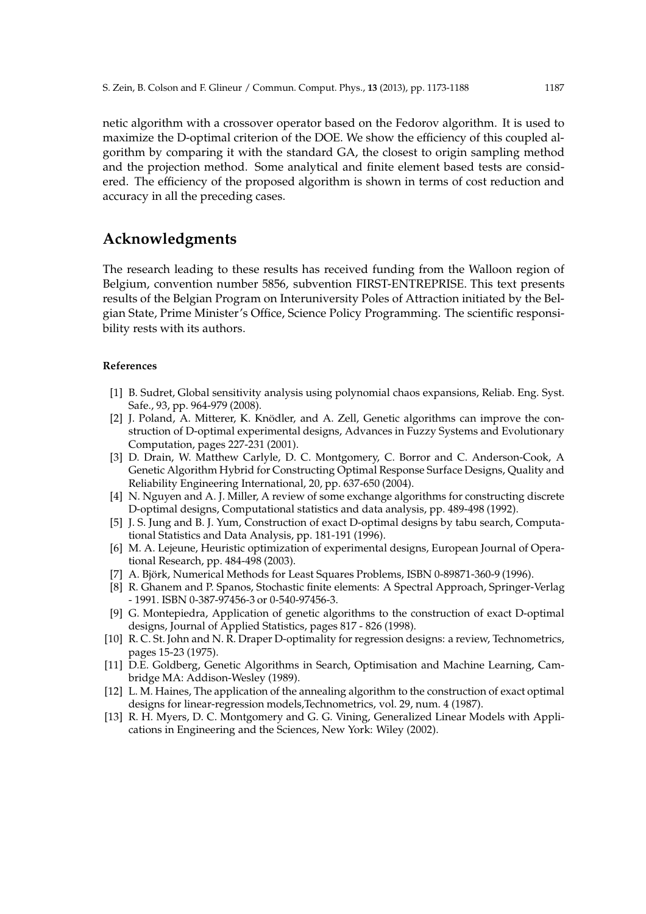netic algorithm with a crossover operator based on the Fedorov algorithm. It is used to maximize the D-optimal criterion of the DOE. We show the efficiency of this coupled algorithm by comparing it with the standard GA, the closest to origin sampling method and the projection method. Some analytical and finite element based tests are considered. The efficiency of the proposed algorithm is shown in terms of cost reduction and accuracy in all the preceding cases.

### **Acknowledgments**

The research leading to these results has received funding from the Walloon region of Belgium, convention number 5856, subvention FIRST-ENTREPRISE. This text presents results of the Belgian Program on Interuniversity Poles of Attraction initiated by the Belgian State, Prime Minister's Office, Science Policy Programming. The scientific responsibility rests with its authors.

#### **References**

- [1] B. Sudret, Global sensitivity analysis using polynomial chaos expansions, Reliab. Eng. Syst. Safe., 93, pp. 964-979 (2008).
- [2] J. Poland, A. Mitterer, K. Knödler, and A. Zell, Genetic algorithms can improve the construction of D-optimal experimental designs, Advances in Fuzzy Systems and Evolutionary Computation, pages 227-231 (2001).
- [3] D. Drain, W. Matthew Carlyle, D. C. Montgomery, C. Borror and C. Anderson-Cook, A Genetic Algorithm Hybrid for Constructing Optimal Response Surface Designs, Quality and Reliability Engineering International, 20, pp. 637-650 (2004).
- [4] N. Nguyen and A. J. Miller, A review of some exchange algorithms for constructing discrete D-optimal designs, Computational statistics and data analysis, pp. 489-498 (1992).
- [5] J. S. Jung and B. J. Yum, Construction of exact D-optimal designs by tabu search, Computational Statistics and Data Analysis, pp. 181-191 (1996).
- [6] M. A. Lejeune, Heuristic optimization of experimental designs, European Journal of Operational Research, pp. 484-498 (2003).
- [7] A. Björk, Numerical Methods for Least Squares Problems, ISBN 0-89871-360-9 (1996).
- [8] R. Ghanem and P. Spanos, Stochastic finite elements: A Spectral Approach, Springer-Verlag - 1991. ISBN 0-387-97456-3 or 0-540-97456-3.
- [9] G. Montepiedra, Application of genetic algorithms to the construction of exact D-optimal designs, Journal of Applied Statistics, pages 817 - 826 (1998).
- [10] R. C. St. John and N. R. Draper D-optimality for regression designs: a review, Technometrics, pages 15-23 (1975).
- [11] D.E. Goldberg, Genetic Algorithms in Search, Optimisation and Machine Learning, Cambridge MA: Addison-Wesley (1989).
- [12] L. M. Haines, The application of the annealing algorithm to the construction of exact optimal designs for linear-regression models,Technometrics, vol. 29, num. 4 (1987).
- [13] R. H. Myers, D. C. Montgomery and G. G. Vining, Generalized Linear Models with Applications in Engineering and the Sciences, New York: Wiley (2002).